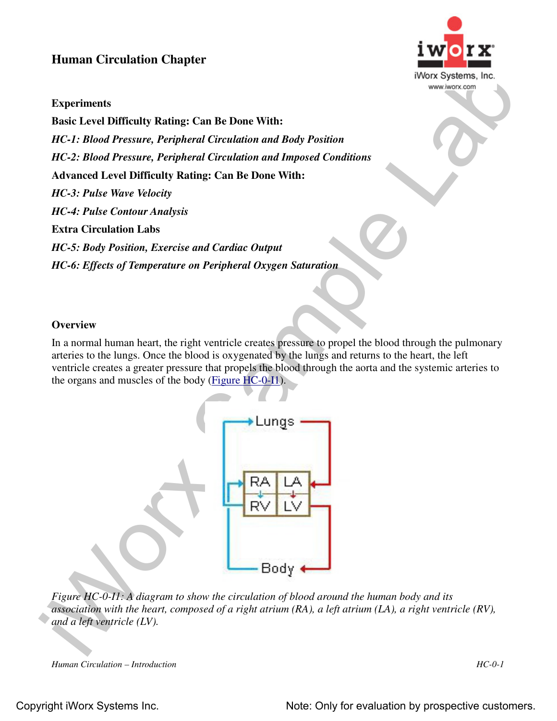## **Human Circulation Chapter**



## **Experiments**

Franciscus<br>
Experiments<br>
Experiments<br>
Experiments<br>
In the Level Difficulty Ruling: Can Be Done With:<br>
HC-2: Blood Pressure, Peripheral Circulation and Inspected Conditions<br>  $HC-2$ : Blood Pressure, Peripheral Circulation an **Basic Level Difficulty Rating: Can Be Done With:** *HC-1: Blood Pressure, Peripheral Circulation and Body Position HC-2: Blood Pressure, Peripheral Circulation and Imposed Conditions* **Advanced Level Difficulty Rating: Can Be Done With:** *HC-3: Pulse Wave Velocity HC-4: Pulse Contour Analysis* **Extra Circulation Labs** *HC-5: Body Position, Exercise and Cardiac Output HC-6: Effects of Temperature on Peripheral Oxygen Saturation*

## **Overview**

In a normal human heart, the right ventricle creates pressure to propel the blood through the pulmonary arteries to the lungs. Once the blood is oxygenated by the lungs and returns to the heart, the left ventricle creates a greater pressure that propels the blood through the aorta and the systemic arteries to the organs and muscles of the body (Figure HC-0-I1).



*Figure HC-0-I1: A diagram to show the circulation of blood around the human body and its association with the heart, composed of a right atrium (RA), a left atrium (LA), a right ventricle (RV), and a left ventricle (LV).*

*Human Circulation – Introduction HC-0-1*